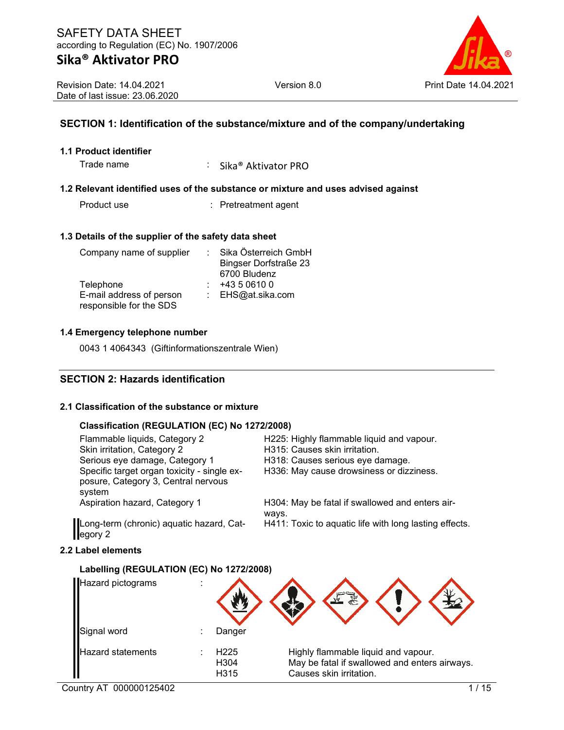

Revision Date: 14.04.2021 Date of last issue: 23.06.2020

## **SECTION 1: Identification of the substance/mixture and of the company/undertaking**

#### **1.1 Product identifier**

Trade name : Sika® Aktivator PRO

#### **1.2 Relevant identified uses of the substance or mixture and uses advised against**

Product use : Pretreatment agent

#### **1.3 Details of the supplier of the safety data sheet**

| Company name of supplier | Sika Österreich GmbH         |
|--------------------------|------------------------------|
|                          | <b>Bingser Dorfstraße 23</b> |
|                          | 6700 Bludenz                 |
| Telephone                | +43 5 0610 0                 |
| E-mail address of person | : EHS@at.sika.com            |
| responsible for the SDS  |                              |

#### **1.4 Emergency telephone number**

0043 1 4064343 (Giftinformationszentrale Wien)

### **SECTION 2: Hazards identification**

#### **2.1 Classification of the substance or mixture**

#### **Classification (REGULATION (EC) No 1272/2008)**

Serious eye damage, Category 1 Specific target organ toxicity - single exposure, Category 3, Central nervous system

Flammable liquids, Category 2 H225: Highly flammable liquid and vapour.<br>Skin irritation, Category 2 H315: Causes skin irritation. H315: Causes skin irritation.<br>H318: Causes serious eye damage. H336: May cause drowsiness or dizziness.

Aspiration hazard, Category 1 H304: May be fatal if swallowed and enters airways. H411: Toxic to aquatic life with long lasting effects.

Long-term (chronic) aquatic hazard, Category 2

### **2.2 Label elements**

### **Labelling (REGULATION (EC) No 1272/2008)**

| Hazard pictograms        |                                  |                                                                                                                 |
|--------------------------|----------------------------------|-----------------------------------------------------------------------------------------------------------------|
| Signal word              | Danger                           |                                                                                                                 |
| <b>Hazard statements</b> | H <sub>225</sub><br>H304<br>H315 | Highly flammable liquid and vapour.<br>May be fatal if swallowed and enters airways.<br>Causes skin irritation. |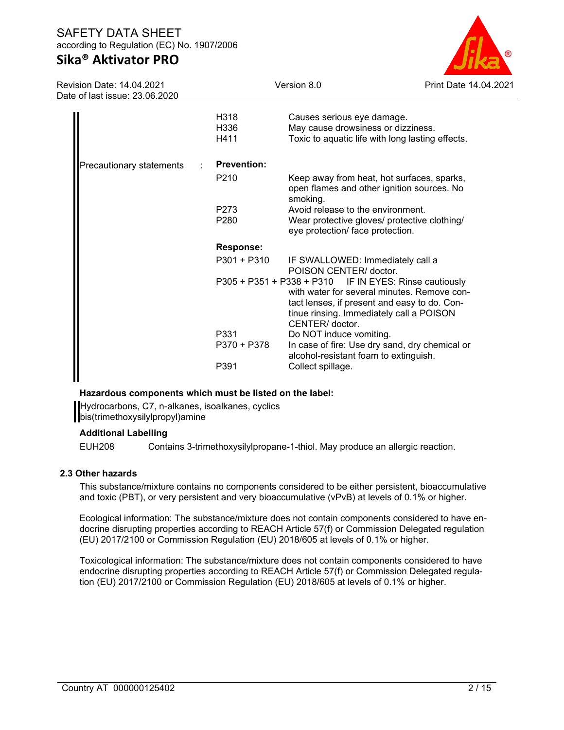# **Sika® Aktivator PRO**

Revision Date: 14.04.2021 Date of last issue: 23.06.2020



| H318<br>H336<br>H411 | Causes serious eye damage.<br>May cause drowsiness or dizziness.<br>Toxic to aquatic life with long lasting effects.                                                                                                 |
|----------------------|----------------------------------------------------------------------------------------------------------------------------------------------------------------------------------------------------------------------|
| <b>Prevention:</b>   |                                                                                                                                                                                                                      |
| P <sub>210</sub>     | Keep away from heat, hot surfaces, sparks,<br>open flames and other ignition sources. No<br>smoking.                                                                                                                 |
| P273                 | Avoid release to the environment.                                                                                                                                                                                    |
| P <sub>280</sub>     | Wear protective gloves/ protective clothing/<br>eye protection/ face protection.                                                                                                                                     |
| <b>Response:</b>     |                                                                                                                                                                                                                      |
| P301 + P310          | IF SWALLOWED: Immediately call a<br>POISON CENTER/ doctor.                                                                                                                                                           |
|                      | P305 + P351 + P338 + P310 IF IN EYES: Rinse cautiously<br>with water for several minutes. Remove con-<br>tact lenses, if present and easy to do. Con-<br>tinue rinsing. Immediately call a POISON<br>CENTER/ doctor. |
| P331                 | Do NOT induce vomiting.                                                                                                                                                                                              |
| P370 + P378          | In case of fire: Use dry sand, dry chemical or<br>alcohol-resistant foam to extinguish.                                                                                                                              |
| P391                 | Collect spillage.                                                                                                                                                                                                    |
|                      |                                                                                                                                                                                                                      |

### **Hazardous components which must be listed on the label:**

Hydrocarbons, C7, n-alkanes, isoalkanes, cyclics bis(trimethoxysilylpropyl)amine

### **Additional Labelling**

EUH208 Contains 3-trimethoxysilylpropane-1-thiol. May produce an allergic reaction.

### **2.3 Other hazards**

This substance/mixture contains no components considered to be either persistent, bioaccumulative and toxic (PBT), or very persistent and very bioaccumulative (vPvB) at levels of 0.1% or higher.

Ecological information: The substance/mixture does not contain components considered to have endocrine disrupting properties according to REACH Article 57(f) or Commission Delegated regulation (EU) 2017/2100 or Commission Regulation (EU) 2018/605 at levels of 0.1% or higher.

Toxicological information: The substance/mixture does not contain components considered to have endocrine disrupting properties according to REACH Article 57(f) or Commission Delegated regulation (EU) 2017/2100 or Commission Regulation (EU) 2018/605 at levels of 0.1% or higher.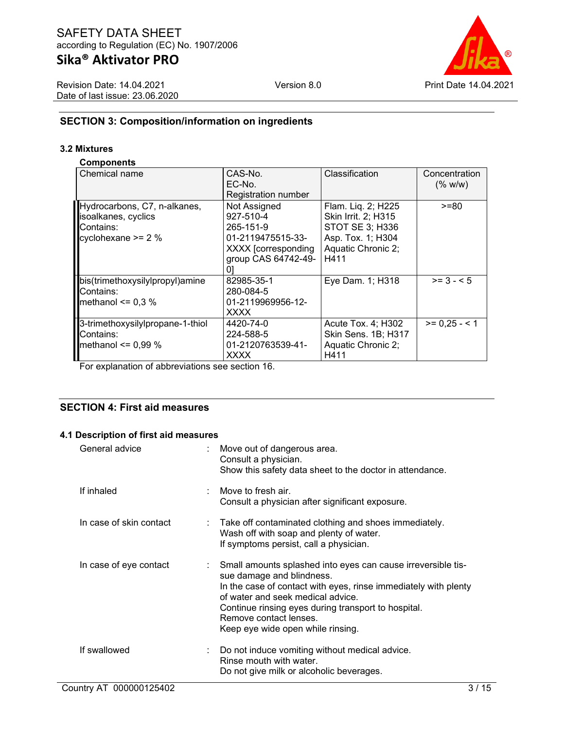Revision Date: 14.04.2021 Date of last issue: 23.06.2020



# **SECTION 3: Composition/information on ingredients**

### **3.2 Mixtures**

### **Components**

| Chemical name                    | CAS-No.             | Classification             | Concentration |
|----------------------------------|---------------------|----------------------------|---------------|
|                                  | EC-No.              |                            | (% w/w)       |
|                                  | Registration number |                            |               |
| Hydrocarbons, C7, n-alkanes,     | Not Assigned        | Flam. Lig. 2; H225         | >=80          |
| isoalkanes, cyclics              | 927-510-4           | Skin Irrit. 2; H315        |               |
| Contains:                        | 265-151-9           | STOT SE 3; H336            |               |
| cyclohexane $>= 2 %$             | 01-2119475515-33-   | Asp. Tox. 1; H304          |               |
|                                  | XXXX [corresponding | Aquatic Chronic 2;         |               |
|                                  | group CAS 64742-49- | H411                       |               |
|                                  |                     |                            |               |
| bis(trimethoxysilylpropyl)amine  | 82985-35-1          | Eye Dam. 1; H318           | $>= 3 - 5$    |
| Contains:                        | 280-084-5           |                            |               |
| methanol $\leq 0.3$ %            | 01-2119969956-12-   |                            |               |
|                                  | <b>XXXX</b>         |                            |               |
| 3-trimethoxysilylpropane-1-thiol | 4420-74-0           | Acute Tox. 4; H302         | $>= 0.25 - 1$ |
| Contains:                        | 224-588-5           | <b>Skin Sens. 1B; H317</b> |               |
| methanol $\leq 0.99\%$           | 01-2120763539-41-   | Aquatic Chronic 2;         |               |
|                                  | XXXX                | H411                       |               |

For explanation of abbreviations see section 16.

## **SECTION 4: First aid measures**

### **4.1 Description of first aid measures**

| General advice          | : Move out of dangerous area.<br>Consult a physician.<br>Show this safety data sheet to the doctor in attendance.                                                                                                                                                                                                       |
|-------------------------|-------------------------------------------------------------------------------------------------------------------------------------------------------------------------------------------------------------------------------------------------------------------------------------------------------------------------|
| If inhaled              | : Move to fresh air.<br>Consult a physician after significant exposure.                                                                                                                                                                                                                                                 |
| In case of skin contact | : Take off contaminated clothing and shoes immediately.<br>Wash off with soap and plenty of water.<br>If symptoms persist, call a physician.                                                                                                                                                                            |
| In case of eye contact  | Small amounts splashed into eyes can cause irreversible tis-<br>sue damage and blindness.<br>In the case of contact with eyes, rinse immediately with plenty<br>of water and seek medical advice.<br>Continue rinsing eyes during transport to hospital.<br>Remove contact lenses.<br>Keep eye wide open while rinsing. |
| If swallowed            | Do not induce vomiting without medical advice.<br>Rinse mouth with water.<br>Do not give milk or alcoholic beverages.                                                                                                                                                                                                   |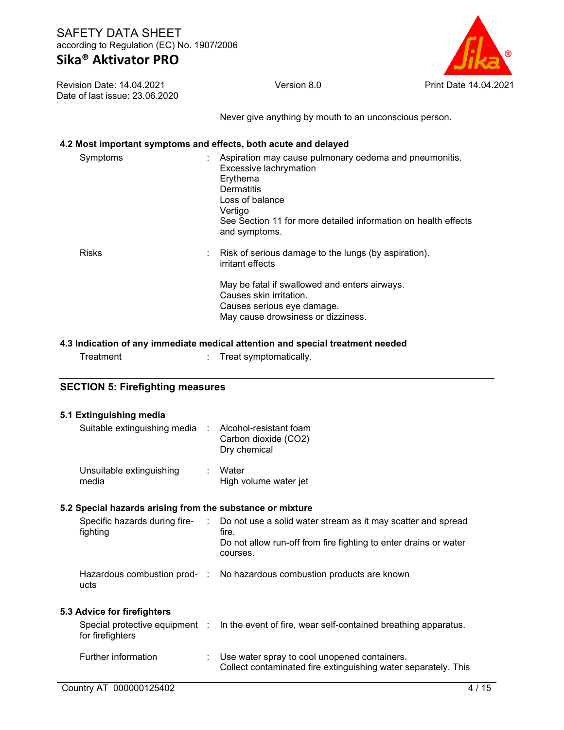Revision Date: 14.04.2021 Date of last issue: 23.06.2020



Never give anything by mouth to an unconscious person.

### **4.2 Most important symptoms and effects, both acute and delayed**

| Symptoms     | Aspiration may cause pulmonary oedema and pneumonitis.<br>Excessive lachrymation<br>Erythema<br>Dermatitis<br>Loss of balance<br>Vertigo<br>See Section 11 for more detailed information on health effects<br>and symptoms. |
|--------------|-----------------------------------------------------------------------------------------------------------------------------------------------------------------------------------------------------------------------------|
| <b>Risks</b> | : Risk of serious damage to the lungs (by aspiration).<br>irritant effects                                                                                                                                                  |
|              | May be fatal if swallowed and enters airways.<br>Causes skin irritation.<br>Causes serious eye damage.<br>May cause drowsiness or dizziness.                                                                                |

#### **4.3 Indication of any immediate medical attention and special treatment needed**

| Treatment | Treat symptomatically. |  |
|-----------|------------------------|--|
|           |                        |  |

### **SECTION 5: Firefighting measures**

| 5.1 Extinguishing media                                   |                                                                                                                                                                                       |
|-----------------------------------------------------------|---------------------------------------------------------------------------------------------------------------------------------------------------------------------------------------|
| Suitable extinguishing media : Alcohol-resistant foam     | Carbon dioxide (CO2)<br>Dry chemical                                                                                                                                                  |
| Unsuitable extinguishing<br>media                         | : Water<br>High volume water jet                                                                                                                                                      |
| 5.2 Special hazards arising from the substance or mixture |                                                                                                                                                                                       |
| fighting                                                  | Specific hazards during fire- : Do not use a solid water stream as it may scatter and spread<br>fire.<br>Do not allow run-off from fire fighting to enter drains or water<br>courses. |
| ucts                                                      | Hazardous combustion prod- : No hazardous combustion products are known                                                                                                               |
| 5.3 Advice for firefighters                               |                                                                                                                                                                                       |
| for firefighters                                          | Special protective equipment : In the event of fire, wear self-contained breathing apparatus.                                                                                         |
| Further information                                       | Use water spray to cool unopened containers.<br>Collect contaminated fire extinguishing water separately. This                                                                        |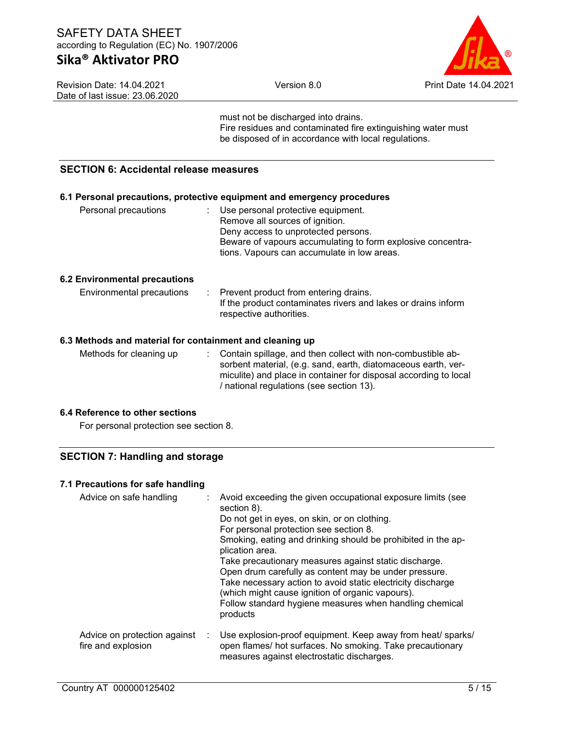# **Sika® Aktivator PRO**

Revision Date: 14.04.2021 Date of last issue: 23.06.2020



tions. Vapours can accumulate in low areas.

must not be discharged into drains. Fire residues and contaminated fire extinguishing water must be disposed of in accordance with local regulations.

# **SECTION 6: Accidental release measures**

| 6.1 Personal precautions, protective equipment and emergency procedures |  |                                                             |  |  |
|-------------------------------------------------------------------------|--|-------------------------------------------------------------|--|--|
| Personal precautions                                                    |  | $\therefore$ Use personal protective equipment.             |  |  |
|                                                                         |  | Remove all sources of ignition.                             |  |  |
|                                                                         |  | Deny access to unprotected persons.                         |  |  |
|                                                                         |  | Beware of vapours accumulating to form explosive concentra- |  |  |

#### **6.2 Environmental precautions**

| Environmental precautions | : Prevent product from entering drains.<br>If the product contaminates rivers and lakes or drains inform |
|---------------------------|----------------------------------------------------------------------------------------------------------|
|                           | respective authorities.                                                                                  |

### **6.3 Methods and material for containment and cleaning up**

Methods for cleaning up : Contain spillage, and then collect with non-combustible absorbent material, (e.g. sand, earth, diatomaceous earth, vermiculite) and place in container for disposal according to local / national regulations (see section 13).

### **6.4 Reference to other sections**

For personal protection see section 8.

### **SECTION 7: Handling and storage**

### **7.1 Precautions for safe handling**

| Advice on safe handling                            | : Avoid exceeding the given occupational exposure limits (see<br>section 8).<br>Do not get in eyes, on skin, or on clothing.<br>For personal protection see section 8.<br>Smoking, eating and drinking should be prohibited in the ap-<br>plication area.<br>Take precautionary measures against static discharge.<br>Open drum carefully as content may be under pressure.<br>Take necessary action to avoid static electricity discharge<br>(which might cause ignition of organic vapours).<br>Follow standard hygiene measures when handling chemical<br>products |
|----------------------------------------------------|-----------------------------------------------------------------------------------------------------------------------------------------------------------------------------------------------------------------------------------------------------------------------------------------------------------------------------------------------------------------------------------------------------------------------------------------------------------------------------------------------------------------------------------------------------------------------|
| Advice on protection against<br>fire and explosion | Use explosion-proof equipment. Keep away from heat/ sparks/<br>open flames/ hot surfaces. No smoking. Take precautionary<br>measures against electrostatic discharges.                                                                                                                                                                                                                                                                                                                                                                                                |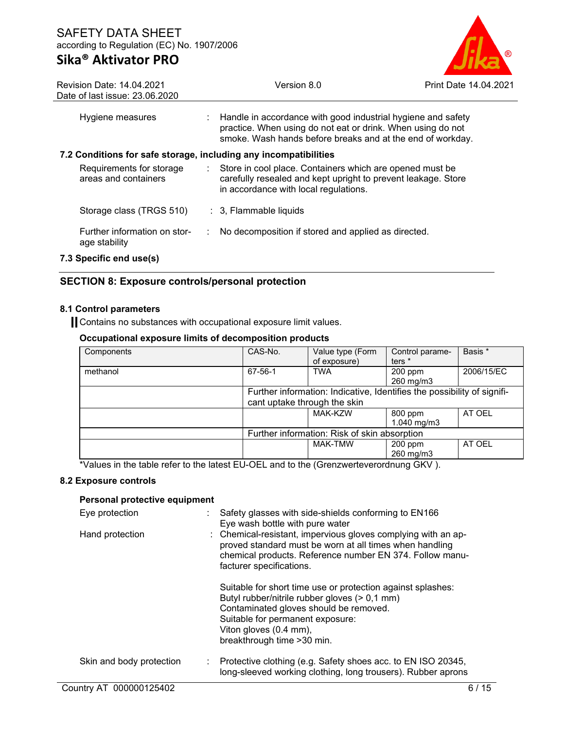

| <b>Revision Date: 14.04.2021</b><br>Date of last issue: 23.06.2020 |    | Version 8.0                                                                                                                                                                                 | Print Date 14.04.2021 |
|--------------------------------------------------------------------|----|---------------------------------------------------------------------------------------------------------------------------------------------------------------------------------------------|-----------------------|
| Hygiene measures                                                   |    | : Handle in accordance with good industrial hygiene and safety<br>practice. When using do not eat or drink. When using do not<br>smoke. Wash hands before breaks and at the end of workday. |                       |
| 7.2 Conditions for safe storage, including any incompatibilities   |    |                                                                                                                                                                                             |                       |
| Requirements for storage<br>areas and containers                   | ÷. | Store in cool place. Containers which are opened must be<br>carefully resealed and kept upright to prevent leakage. Store<br>in accordance with local regulations.                          |                       |
| Storage class (TRGS 510)                                           |    | $\therefore$ 3, Flammable liquids                                                                                                                                                           |                       |
| Further information on stor-<br>age stability                      | ÷  | No decomposition if stored and applied as directed.                                                                                                                                         |                       |
| 7.3 Specific end use(s)                                            |    |                                                                                                                                                                                             |                       |

### **SECTION 8: Exposure controls/personal protection**

### **8.1 Control parameters**

Contains no substances with occupational exposure limit values.

### **Occupational exposure limits of decomposition products**

| Components | CAS-No.                                                                                                 | Value type (Form<br>of exposure) | Control parame-<br>ters <sup>*</sup> | Basis *    |
|------------|---------------------------------------------------------------------------------------------------------|----------------------------------|--------------------------------------|------------|
| methanol   | 67-56-1                                                                                                 | <b>TWA</b>                       | $200$ ppm<br>260 mg/m3               | 2006/15/EC |
|            | Further information: Indicative, Identifies the possibility of signifi-<br>cant uptake through the skin |                                  |                                      |            |
|            |                                                                                                         | <b>MAK-KZW</b>                   | 800 ppm<br>1.040 $mq/m3$             | AT OEL     |
|            | Further information: Risk of skin absorption                                                            |                                  |                                      |            |
|            |                                                                                                         | <b>MAK-TMW</b>                   | $200$ ppm<br>260 mg/m3               | AT OEL     |

\*Values in the table refer to the latest EU-OEL and to the (Grenzwerteverordnung GKV ).

### **8.2 Exposure controls**

### **Personal protective equipment**

| Eye protection           |    | Safety glasses with side-shields conforming to EN166<br>Eye wash bottle with pure water                                                                                                                                                             |
|--------------------------|----|-----------------------------------------------------------------------------------------------------------------------------------------------------------------------------------------------------------------------------------------------------|
| Hand protection          |    | : Chemical-resistant, impervious gloves complying with an ap-<br>proved standard must be worn at all times when handling<br>chemical products. Reference number EN 374. Follow manu-<br>facturer specifications.                                    |
|                          |    | Suitable for short time use or protection against splashes:<br>Butyl rubber/nitrile rubber gloves (> 0,1 mm)<br>Contaminated gloves should be removed.<br>Suitable for permanent exposure:<br>Viton gloves (0.4 mm),<br>breakthrough time > 30 min. |
| Skin and body protection | ÷. | Protective clothing (e.g. Safety shoes acc. to EN ISO 20345,<br>long-sleeved working clothing, long trousers). Rubber aprons                                                                                                                        |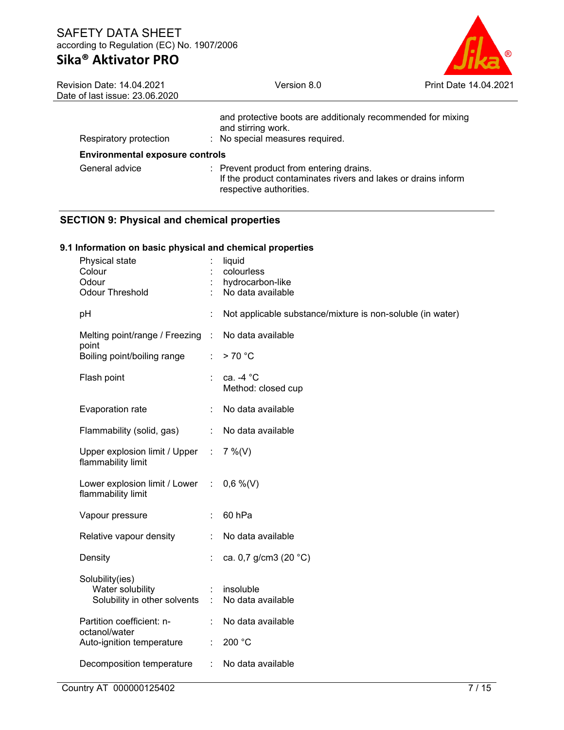| ®                     |
|-----------------------|
| Print Date 14.04.2021 |

| <b>Revision Date: 14.04.2021</b><br>Date of last issue: 23.06.2020 | Version 8.0                                                                                                                         | <b>Print Date 14.04.2021</b> |
|--------------------------------------------------------------------|-------------------------------------------------------------------------------------------------------------------------------------|------------------------------|
| Respiratory protection                                             | and protective boots are additionaly recommended for mixing<br>and stirring work.<br>: No special measures required.                |                              |
| <b>Environmental exposure controls</b>                             |                                                                                                                                     |                              |
| General advice                                                     | : Prevent product from entering drains.<br>If the product contaminates rivers and lakes or drains inform<br>respective authorities. |                              |
| <b>SECTION 9: Physical and chemical properties</b>                 |                                                                                                                                     |                              |
| 9.1 Information on basic physical and chemical properties          |                                                                                                                                     |                              |

| Physical state<br>Colour<br>Odour<br><b>Odour Threshold</b>           |                | liquid<br>colourless<br>hydrocarbon-like<br>No data available |
|-----------------------------------------------------------------------|----------------|---------------------------------------------------------------|
| pH                                                                    | t              | Not applicable substance/mixture is non-soluble (in water)    |
| Melting point/range / Freezing<br>point                               | $\mathbb{R}^2$ | No data available                                             |
| Boiling point/boiling range                                           | ÷              | > 70 °C                                                       |
| Flash point                                                           |                | ca. $-4$ °C<br>Method: closed cup                             |
| Evaporation rate                                                      |                | No data available                                             |
| Flammability (solid, gas)                                             | ÷              | No data available                                             |
| Upper explosion limit / Upper :<br>flammability limit                 |                | $7\%$ (V)                                                     |
| Lower explosion limit / Lower :<br>flammability limit                 |                | $0,6\%$ (V)                                                   |
| Vapour pressure                                                       |                | 60 <sub>hPa</sub>                                             |
| Relative vapour density                                               | ÷              | No data available                                             |
| Density                                                               |                | ca. 0,7 g/cm3 (20 °C)                                         |
| Solubility(ies)<br>Water solubility<br>Solubility in other solvents : |                | insoluble<br>No data available                                |
| Partition coefficient: n-<br>octanol/water                            |                | No data available                                             |
| Auto-ignition temperature                                             | ÷              | 200 °C                                                        |
| Decomposition temperature                                             | ÷              | No data available                                             |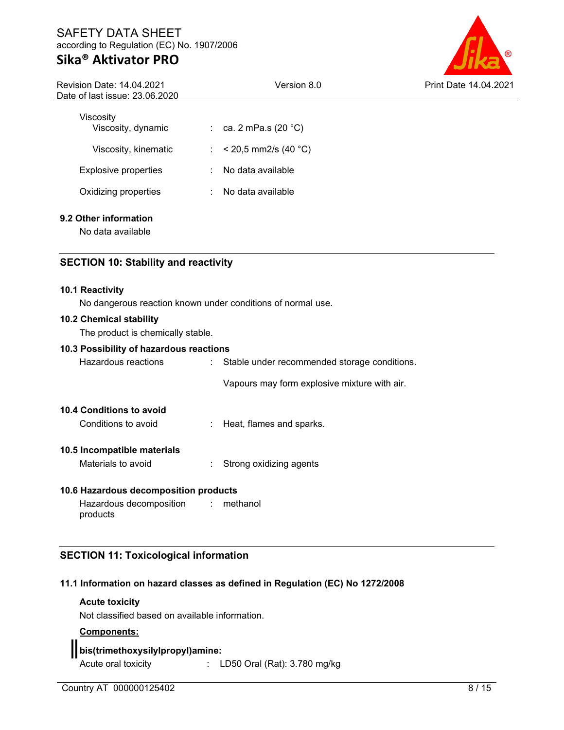# **Sika® Aktivator PRO**

Revision Date: 14.04.2021 Date of last issue: 23.06.2020



| Viscositv                   |        |                          |
|-----------------------------|--------|--------------------------|
| Viscosity, dynamic          |        | : ca. 2 mPa.s (20 °C)    |
| Viscosity, kinematic        |        | : $< 20.5$ mm2/s (40 °C) |
| <b>Explosive properties</b> | $\sim$ | No data available        |
| Oxidizing properties        |        | No data available        |

### **9.2 Other information**

No data available

### **SECTION 10: Stability and reactivity**

#### **10.1 Reactivity**

No dangerous reaction known under conditions of normal use.

#### **10.2 Chemical stability**

The product is chemically stable.

#### **10.3 Possibility of hazardous reactions**

| Hazardous reactions                             | : Stable under recommended storage conditions. |
|-------------------------------------------------|------------------------------------------------|
|                                                 | Vapours may form explosive mixture with air.   |
| 10.4 Conditions to avoid<br>Conditions to avoid | : Heat, flames and sparks.                     |
| 10.5 Incompatible materials                     |                                                |
| Materials to avoid                              | Strong oxidizing agents                        |

#### **10.6 Hazardous decomposition products**

| Hazardous decomposition | $:$ methanol |
|-------------------------|--------------|
| products                |              |

### **SECTION 11: Toxicological information**

### **11.1 Information on hazard classes as defined in Regulation (EC) No 1272/2008**

#### **Acute toxicity**

Not classified based on available information.

### **Components:**

## **bis(trimethoxysilylpropyl)amine:**

Acute oral toxicity : LD50 Oral (Rat): 3.780 mg/kg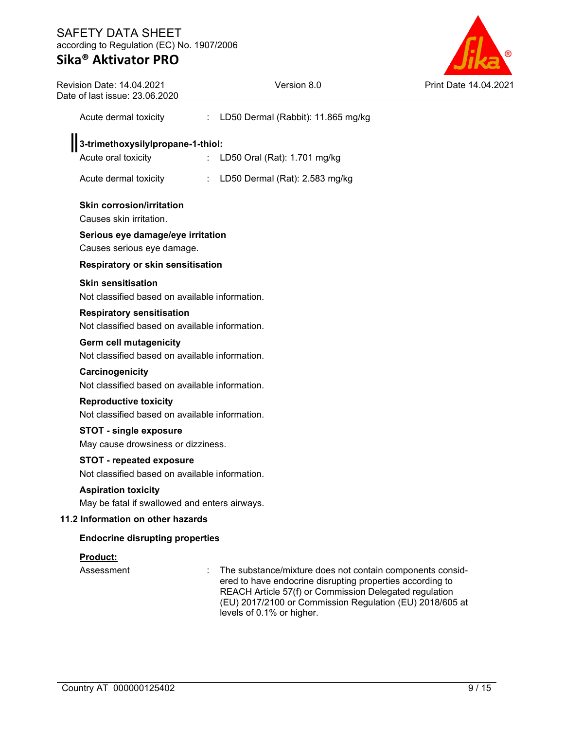

| <b>Revision Date: 14.04.2021</b><br>Date of last issue: 23.06.2020                 | Version 8.0                                                                                                                                                                                                                                                               | Print Date 1 |
|------------------------------------------------------------------------------------|---------------------------------------------------------------------------------------------------------------------------------------------------------------------------------------------------------------------------------------------------------------------------|--------------|
| Acute dermal toxicity                                                              | LD50 Dermal (Rabbit): 11.865 mg/kg<br>÷.                                                                                                                                                                                                                                  |              |
| 3-trimethoxysilylpropane-1-thiol:                                                  |                                                                                                                                                                                                                                                                           |              |
| Acute oral toxicity                                                                | LD50 Oral (Rat): 1.701 mg/kg<br>$\mathcal{L}^{\mathcal{L}}$                                                                                                                                                                                                               |              |
| Acute dermal toxicity                                                              | : LD50 Dermal (Rat): 2.583 mg/kg                                                                                                                                                                                                                                          |              |
| <b>Skin corrosion/irritation</b><br>Causes skin irritation.                        |                                                                                                                                                                                                                                                                           |              |
| Serious eye damage/eye irritation                                                  |                                                                                                                                                                                                                                                                           |              |
| Causes serious eye damage.                                                         |                                                                                                                                                                                                                                                                           |              |
| Respiratory or skin sensitisation                                                  |                                                                                                                                                                                                                                                                           |              |
| <b>Skin sensitisation</b><br>Not classified based on available information.        |                                                                                                                                                                                                                                                                           |              |
| <b>Respiratory sensitisation</b><br>Not classified based on available information. |                                                                                                                                                                                                                                                                           |              |
| <b>Germ cell mutagenicity</b><br>Not classified based on available information.    |                                                                                                                                                                                                                                                                           |              |
| Carcinogenicity<br>Not classified based on available information.                  |                                                                                                                                                                                                                                                                           |              |
| <b>Reproductive toxicity</b><br>Not classified based on available information.     |                                                                                                                                                                                                                                                                           |              |
| <b>STOT - single exposure</b><br>May cause drowsiness or dizziness.                |                                                                                                                                                                                                                                                                           |              |
| <b>STOT - repeated exposure</b><br>Not classified based on available information.  |                                                                                                                                                                                                                                                                           |              |
| <b>Aspiration toxicity</b><br>May be fatal if swallowed and enters airways.        |                                                                                                                                                                                                                                                                           |              |
| 11.2 Information on other hazards                                                  |                                                                                                                                                                                                                                                                           |              |
| <b>Endocrine disrupting properties</b>                                             |                                                                                                                                                                                                                                                                           |              |
| <b>Product:</b>                                                                    |                                                                                                                                                                                                                                                                           |              |
| Assessment                                                                         | The substance/mixture does not contain components consid-<br>ered to have endocrine disrupting properties according to<br>REACH Article 57(f) or Commission Delegated regulation<br>(EU) 2017/2100 or Commission Regulation (EU) 2018/605 at<br>levels of 0.1% or higher. |              |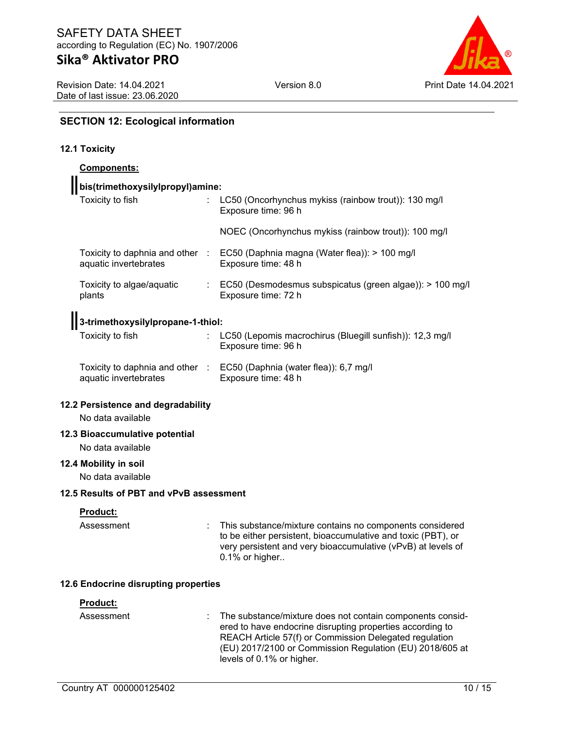Revision Date: 14.04.2021 Date of last issue: 23.06.2020 Version 8.0 Print Date 14.04.2021

# **SECTION 12: Ecological information**

# **12.1 Toxicity**

| <b>Components:</b>                                  |                                                                                                                                                                                                                                                                           |
|-----------------------------------------------------|---------------------------------------------------------------------------------------------------------------------------------------------------------------------------------------------------------------------------------------------------------------------------|
| bis(trimethoxysilylpropyl)amine:                    |                                                                                                                                                                                                                                                                           |
| Toxicity to fish                                    | LC50 (Oncorhynchus mykiss (rainbow trout)): 130 mg/l<br>Exposure time: 96 h                                                                                                                                                                                               |
|                                                     | NOEC (Oncorhynchus mykiss (rainbow trout)): 100 mg/l                                                                                                                                                                                                                      |
| aquatic invertebrates                               | Toxicity to daphnia and other : EC50 (Daphnia magna (Water flea)): > 100 mg/l<br>Exposure time: 48 h                                                                                                                                                                      |
| Toxicity to algae/aquatic<br>plants                 | : EC50 (Desmodesmus subspicatus (green algae)): > 100 mg/l<br>Exposure time: 72 h                                                                                                                                                                                         |
| 3-trimethoxysilylpropane-1-thiol:                   |                                                                                                                                                                                                                                                                           |
| Toxicity to fish                                    | LC50 (Lepomis macrochirus (Bluegill sunfish)): 12,3 mg/l<br>Exposure time: 96 h                                                                                                                                                                                           |
| aquatic invertebrates                               | Toxicity to daphnia and other : EC50 (Daphnia (water flea)): 6,7 mg/l<br>Exposure time: 48 h                                                                                                                                                                              |
| 12.2 Persistence and degradability                  |                                                                                                                                                                                                                                                                           |
| No data available                                   |                                                                                                                                                                                                                                                                           |
| 12.3 Bioaccumulative potential<br>No data available |                                                                                                                                                                                                                                                                           |
| 12.4 Mobility in soil<br>No data available          |                                                                                                                                                                                                                                                                           |
| 12.5 Results of PBT and vPvB assessment             |                                                                                                                                                                                                                                                                           |
| Product:                                            |                                                                                                                                                                                                                                                                           |
| Assessment                                          | This substance/mixture contains no components considered<br>to be either persistent, bioaccumulative and toxic (PBT), or<br>very persistent and very bioaccumulative (vPvB) at levels of<br>0.1% or higher                                                                |
| 12.6 Endocrine disrupting properties                |                                                                                                                                                                                                                                                                           |
| Product:                                            |                                                                                                                                                                                                                                                                           |
| Assessment                                          | The substance/mixture does not contain components consid-<br>ered to have endocrine disrupting properties according to<br>REACH Article 57(f) or Commission Delegated regulation<br>(EU) 2017/2100 or Commission Regulation (EU) 2018/605 at<br>levels of 0.1% or higher. |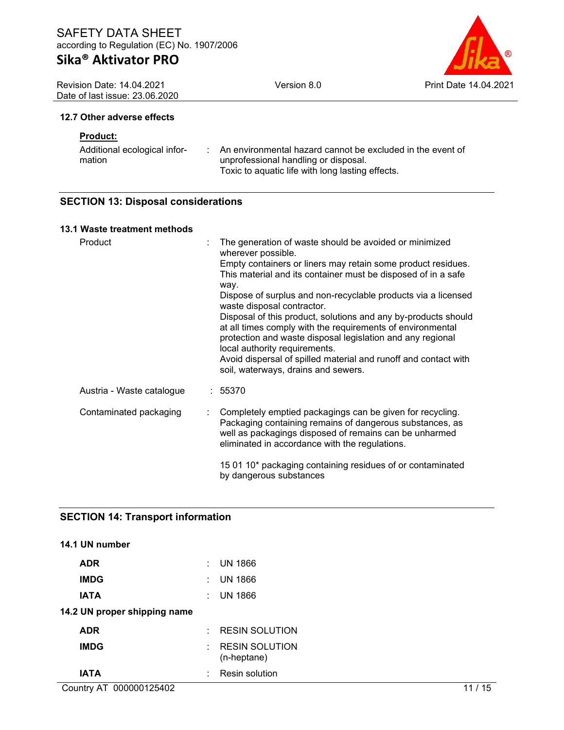Revision Date: 14.04.2021 Date of last issue: 23.06.2020



#### **12.7 Other adverse effects**

### **Product:**

| Additional ecological infor- | An environmental hazard cannot be excluded in the event of |
|------------------------------|------------------------------------------------------------|
| mation                       | unprofessional handling or disposal.                       |
|                              | Toxic to aquatic life with long lasting effects.           |

### **SECTION 13: Disposal considerations**

### **13.1 Waste treatment methods**

| Product                   | The generation of waste should be avoided or minimized<br>wherever possible.                                                                                                                                                                                                                   |
|---------------------------|------------------------------------------------------------------------------------------------------------------------------------------------------------------------------------------------------------------------------------------------------------------------------------------------|
|                           | Empty containers or liners may retain some product residues.<br>This material and its container must be disposed of in a safe<br>way.                                                                                                                                                          |
|                           | Dispose of surplus and non-recyclable products via a licensed<br>waste disposal contractor.                                                                                                                                                                                                    |
|                           | Disposal of this product, solutions and any by-products should<br>at all times comply with the requirements of environmental<br>protection and waste disposal legislation and any regional<br>local authority requirements.<br>Avoid dispersal of spilled material and runoff and contact with |
|                           | soil, waterways, drains and sewers.                                                                                                                                                                                                                                                            |
| Austria - Waste catalogue | : 55370                                                                                                                                                                                                                                                                                        |
| Contaminated packaging    | Completely emptied packagings can be given for recycling.<br>Packaging containing remains of dangerous substances, as<br>well as packagings disposed of remains can be unharmed<br>eliminated in accordance with the regulations.                                                              |
|                           | 15 01 10* packaging containing residues of or contaminated<br>by dangerous substances                                                                                                                                                                                                          |

### **SECTION 14: Transport information**

| 14.1 UN number               |                  |                                      |
|------------------------------|------------------|--------------------------------------|
| <b>ADR</b>                   | ۰                | UN 1866                              |
| <b>IMDG</b>                  | ٠                | UN 1866                              |
| IATA                         | ٠                | <b>UN 1866</b>                       |
| 14.2 UN proper shipping name |                  |                                      |
| <b>ADR</b>                   | <b>Participa</b> | <b>RESIN SOLUTION</b>                |
| <b>IMDG</b>                  | ÷.               | <b>RESIN SOLUTION</b><br>(n-heptane) |
| IATA                         |                  | Resin solution                       |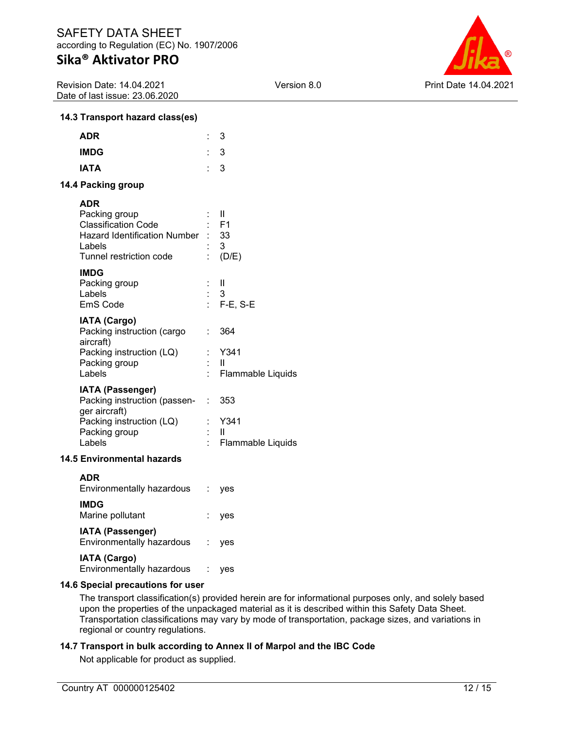Revision Date: 14.04.2021 Date of last issue: 23.06.2020



### **14.3 Transport hazard class(es)**

| <b>ADR</b>                                                                                                                            |     | 3                                                            |
|---------------------------------------------------------------------------------------------------------------------------------------|-----|--------------------------------------------------------------|
| <b>IMDG</b>                                                                                                                           |     | 3                                                            |
| <b>IATA</b>                                                                                                                           | e i | 3                                                            |
| 14.4 Packing group                                                                                                                    |     |                                                              |
| <b>ADR</b><br>Packing group<br><b>Classification Code</b><br><b>Hazard Identification Number</b><br>Labels<br>Tunnel restriction code |     | - 11<br>$:$ F1<br>: 33<br>$\overline{\mathbf{3}}$<br>: (D/E) |
| <b>IMDG</b><br>Packing group<br>Labels<br>EmS Code                                                                                    |     | - 11<br>: 3<br>: $F-E$ , S-E                                 |
| <b>IATA (Cargo)</b><br>Packing instruction (cargo<br>aircraft)<br>Packing instruction (LQ)<br>Packing group<br>Labels                 | t.  | 364<br>Y341<br>$\mathbf{H}$<br>Flammable Liquids             |
| <b>IATA (Passenger)</b><br>Packing instruction (passen-<br>ger aircraft)<br>Packing instruction (LQ)<br>Packing group<br>Labels       | t.  | 353<br>Y341<br>H<br>Flammable Liquids                        |
| <b>14.5 Environmental hazards</b>                                                                                                     |     |                                                              |
|                                                                                                                                       |     |                                                              |

| ADR<br>Environmentally hazardous                     | ves |
|------------------------------------------------------|-----|
| <b>IMDG</b><br>Marine pollutant                      | yes |
| <b>IATA (Passenger)</b><br>Environmentally hazardous | ves |
| <b>IATA (Cargo)</b><br>Environmentally hazardous     | es  |

#### **14.6 Special precautions for user**

The transport classification(s) provided herein are for informational purposes only, and solely based upon the properties of the unpackaged material as it is described within this Safety Data Sheet. Transportation classifications may vary by mode of transportation, package sizes, and variations in regional or country regulations.

### **14.7 Transport in bulk according to Annex II of Marpol and the IBC Code**

Not applicable for product as supplied.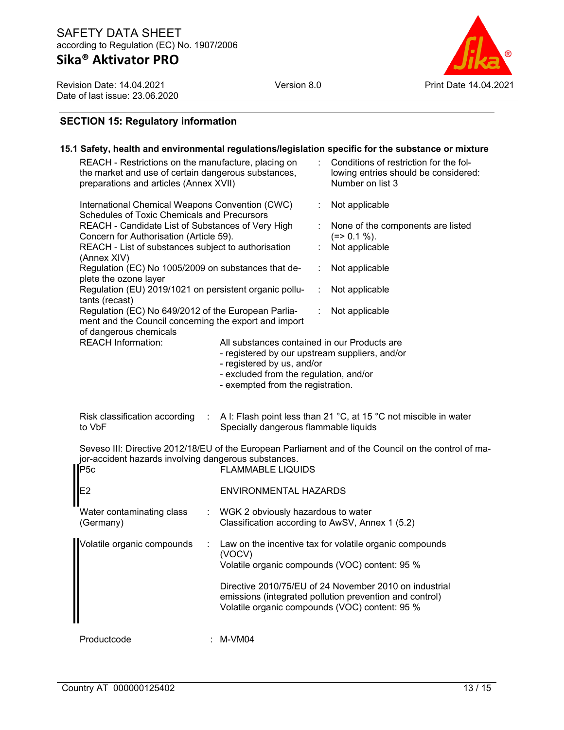Revision Date: 14.04.2021 Date of last issue: 23.06.2020



# **SECTION 15: Regulatory information**

|                                                                                                                                                                                                                                                                                                                                                                                                                                                                                                                                                                                                                |                                                                                                           | 15.1 Safety, health and environmental regulations/legislation specific for the substance or mixture                                                                                                                                                                              |
|----------------------------------------------------------------------------------------------------------------------------------------------------------------------------------------------------------------------------------------------------------------------------------------------------------------------------------------------------------------------------------------------------------------------------------------------------------------------------------------------------------------------------------------------------------------------------------------------------------------|-----------------------------------------------------------------------------------------------------------|----------------------------------------------------------------------------------------------------------------------------------------------------------------------------------------------------------------------------------------------------------------------------------|
| REACH - Restrictions on the manufacture, placing on<br>the market and use of certain dangerous substances,<br>preparations and articles (Annex XVII)                                                                                                                                                                                                                                                                                                                                                                                                                                                           |                                                                                                           | Conditions of restriction for the fol-<br>lowing entries should be considered:<br>Number on list 3                                                                                                                                                                               |
| International Chemical Weapons Convention (CWC)<br><b>Schedules of Toxic Chemicals and Precursors</b><br>REACH - Candidate List of Substances of Very High<br>Concern for Authorisation (Article 59).<br>REACH - List of substances subject to authorisation<br>(Annex XIV)<br>Regulation (EC) No 1005/2009 on substances that de-<br>plete the ozone layer<br>Regulation (EU) 2019/1021 on persistent organic pollu-<br>tants (recast)<br>Regulation (EC) No 649/2012 of the European Parlia-<br>ment and the Council concerning the export and import<br>of dangerous chemicals<br><b>REACH Information:</b> | All substances contained in our Products are                                                              | Not applicable<br>None of the components are listed<br>$(=>0.1\%).$<br>Not applicable<br>Not applicable<br>Not applicable<br>Not applicable<br>÷                                                                                                                                 |
|                                                                                                                                                                                                                                                                                                                                                                                                                                                                                                                                                                                                                | - registered by us, and/or<br>- excluded from the regulation, and/or<br>- exempted from the registration. | - registered by our upstream suppliers, and/or                                                                                                                                                                                                                                   |
| Risk classification according<br>to VbF                                                                                                                                                                                                                                                                                                                                                                                                                                                                                                                                                                        | Specially dangerous flammable liquids                                                                     | A I: Flash point less than 21 °C, at 15 °C not miscible in water                                                                                                                                                                                                                 |
| jor-accident hazards involving dangerous substances.<br>P <sub>5c</sub>                                                                                                                                                                                                                                                                                                                                                                                                                                                                                                                                        | <b>FLAMMABLE LIQUIDS</b>                                                                                  | Seveso III: Directive 2012/18/EU of the European Parliament and of the Council on the control of ma-                                                                                                                                                                             |
| E2                                                                                                                                                                                                                                                                                                                                                                                                                                                                                                                                                                                                             | ENVIRONMENTAL HAZARDS                                                                                     |                                                                                                                                                                                                                                                                                  |
| Water contaminating class<br>(Germany)                                                                                                                                                                                                                                                                                                                                                                                                                                                                                                                                                                         | WGK 2 obviously hazardous to water                                                                        | Classification according to AwSV, Annex 1 (5.2)                                                                                                                                                                                                                                  |
| Volatile organic compounds                                                                                                                                                                                                                                                                                                                                                                                                                                                                                                                                                                                     | (VOCV)                                                                                                    | Law on the incentive tax for volatile organic compounds<br>Volatile organic compounds (VOC) content: 95 %<br>Directive 2010/75/EU of 24 November 2010 on industrial<br>emissions (integrated pollution prevention and control)<br>Volatile organic compounds (VOC) content: 95 % |
| Productcode                                                                                                                                                                                                                                                                                                                                                                                                                                                                                                                                                                                                    | M-VM04                                                                                                    |                                                                                                                                                                                                                                                                                  |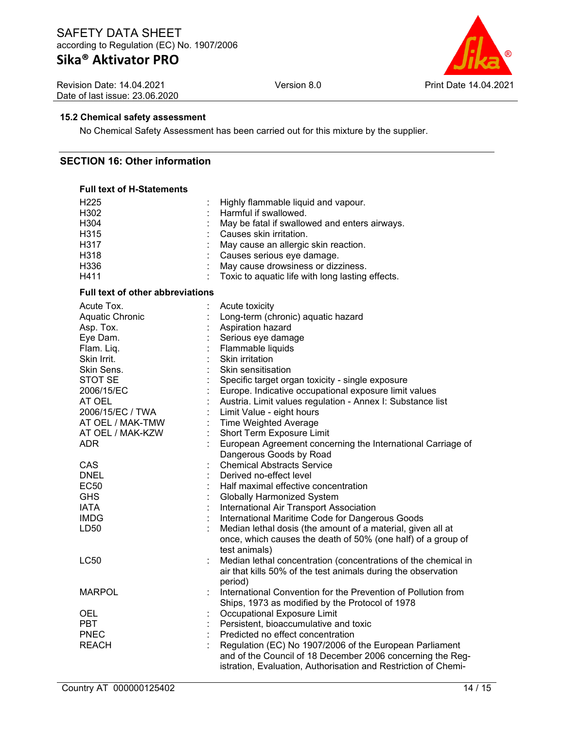# **Sika® Aktivator PRO**

Revision Date: 14.04.2021 Date of last issue: 23.06.2020



### **15.2 Chemical safety assessment**

No Chemical Safety Assessment has been carried out for this mixture by the supplier.

### **SECTION 16: Other information**

# **Full text of H-Statements**

| H302<br>Harmful if swallowed.<br>H304<br>May be fatal if swallowed and enters airways.<br>H315<br>Causes skin irritation.<br>H317<br>May cause an allergic skin reaction.<br>H318<br>Causes serious eye damage.<br>H336<br>May cause drowsiness or dizziness.<br>H411<br>Toxic to aquatic life with long lasting effects.<br><b>Full text of other abbreviations</b><br>Acute Tox.<br>Acute toxicity<br>Aquatic Chronic<br>Long-term (chronic) aquatic hazard<br>Asp. Tox.<br>Aspiration hazard |
|-------------------------------------------------------------------------------------------------------------------------------------------------------------------------------------------------------------------------------------------------------------------------------------------------------------------------------------------------------------------------------------------------------------------------------------------------------------------------------------------------|
|                                                                                                                                                                                                                                                                                                                                                                                                                                                                                                 |
|                                                                                                                                                                                                                                                                                                                                                                                                                                                                                                 |
|                                                                                                                                                                                                                                                                                                                                                                                                                                                                                                 |
|                                                                                                                                                                                                                                                                                                                                                                                                                                                                                                 |
|                                                                                                                                                                                                                                                                                                                                                                                                                                                                                                 |
|                                                                                                                                                                                                                                                                                                                                                                                                                                                                                                 |
|                                                                                                                                                                                                                                                                                                                                                                                                                                                                                                 |
|                                                                                                                                                                                                                                                                                                                                                                                                                                                                                                 |
|                                                                                                                                                                                                                                                                                                                                                                                                                                                                                                 |
|                                                                                                                                                                                                                                                                                                                                                                                                                                                                                                 |
|                                                                                                                                                                                                                                                                                                                                                                                                                                                                                                 |
| Eye Dam.<br>Serious eye damage                                                                                                                                                                                                                                                                                                                                                                                                                                                                  |
| Flam. Liq.<br>Flammable liquids                                                                                                                                                                                                                                                                                                                                                                                                                                                                 |
| Skin Irrit.<br><b>Skin irritation</b>                                                                                                                                                                                                                                                                                                                                                                                                                                                           |
| Skin Sens.<br>Skin sensitisation                                                                                                                                                                                                                                                                                                                                                                                                                                                                |
| STOT SE<br>Specific target organ toxicity - single exposure                                                                                                                                                                                                                                                                                                                                                                                                                                     |
| Europe. Indicative occupational exposure limit values<br>2006/15/EC                                                                                                                                                                                                                                                                                                                                                                                                                             |
| AT OEL<br>Austria. Limit values regulation - Annex I: Substance list                                                                                                                                                                                                                                                                                                                                                                                                                            |
| 2006/15/EC / TWA<br>Limit Value - eight hours                                                                                                                                                                                                                                                                                                                                                                                                                                                   |
| AT OEL / MAK-TMW<br><b>Time Weighted Average</b>                                                                                                                                                                                                                                                                                                                                                                                                                                                |
| AT OEL / MAK-KZW<br>Short Term Exposure Limit                                                                                                                                                                                                                                                                                                                                                                                                                                                   |
| European Agreement concerning the International Carriage of<br>ADR.                                                                                                                                                                                                                                                                                                                                                                                                                             |
| Dangerous Goods by Road                                                                                                                                                                                                                                                                                                                                                                                                                                                                         |
| <b>Chemical Abstracts Service</b><br>CAS                                                                                                                                                                                                                                                                                                                                                                                                                                                        |
| Derived no-effect level<br><b>DNEL</b>                                                                                                                                                                                                                                                                                                                                                                                                                                                          |
| EC50<br>Half maximal effective concentration                                                                                                                                                                                                                                                                                                                                                                                                                                                    |
| <b>GHS</b><br><b>Globally Harmonized System</b>                                                                                                                                                                                                                                                                                                                                                                                                                                                 |
| <b>IATA</b><br>International Air Transport Association                                                                                                                                                                                                                                                                                                                                                                                                                                          |
| <b>IMDG</b><br>International Maritime Code for Dangerous Goods                                                                                                                                                                                                                                                                                                                                                                                                                                  |
| LD50<br>Median lethal dosis (the amount of a material, given all at                                                                                                                                                                                                                                                                                                                                                                                                                             |
| once, which causes the death of 50% (one half) of a group of                                                                                                                                                                                                                                                                                                                                                                                                                                    |
| test animals)                                                                                                                                                                                                                                                                                                                                                                                                                                                                                   |
| LC50<br>Median lethal concentration (concentrations of the chemical in                                                                                                                                                                                                                                                                                                                                                                                                                          |
| air that kills 50% of the test animals during the observation                                                                                                                                                                                                                                                                                                                                                                                                                                   |
| period)                                                                                                                                                                                                                                                                                                                                                                                                                                                                                         |
| <b>MARPOL</b><br>International Convention for the Prevention of Pollution from                                                                                                                                                                                                                                                                                                                                                                                                                  |
| Ships, 1973 as modified by the Protocol of 1978                                                                                                                                                                                                                                                                                                                                                                                                                                                 |
| Occupational Exposure Limit<br>OEL                                                                                                                                                                                                                                                                                                                                                                                                                                                              |
| <b>PBT</b><br>Persistent, bioaccumulative and toxic                                                                                                                                                                                                                                                                                                                                                                                                                                             |
|                                                                                                                                                                                                                                                                                                                                                                                                                                                                                                 |
|                                                                                                                                                                                                                                                                                                                                                                                                                                                                                                 |
| <b>PNEC</b><br>Predicted no effect concentration                                                                                                                                                                                                                                                                                                                                                                                                                                                |
| <b>REACH</b><br>Regulation (EC) No 1907/2006 of the European Parliament<br>and of the Council of 18 December 2006 concerning the Reg-                                                                                                                                                                                                                                                                                                                                                           |